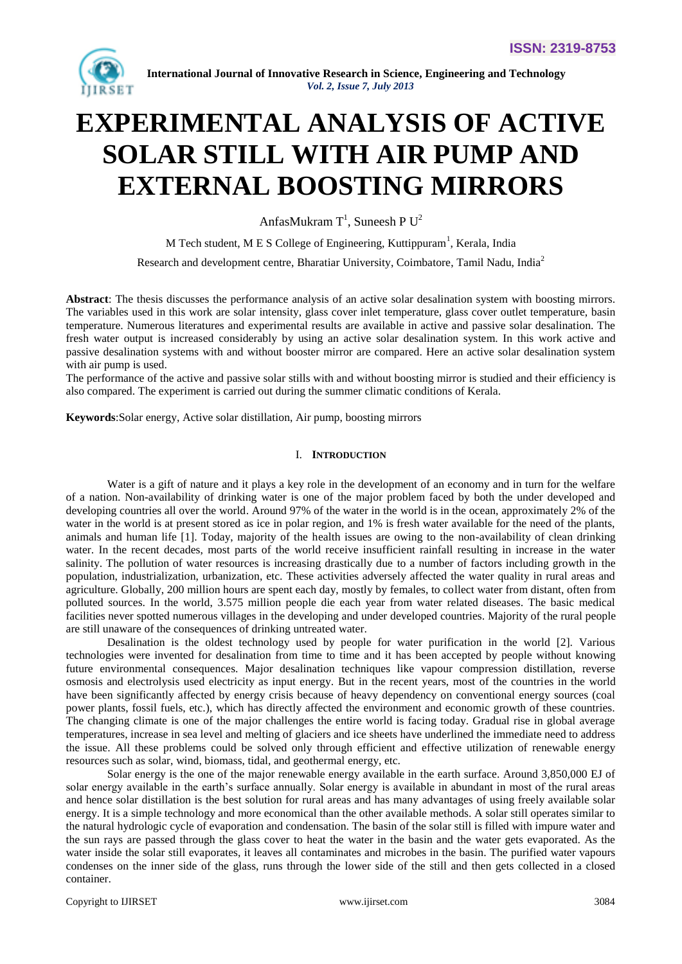

# **EXPERIMENTAL ANALYSIS OF ACTIVE SOLAR STILL WITH AIR PUMP AND EXTERNAL BOOSTING MIRRORS**

AnfasMukram  $T^1$ , Suneesh P  $U^2$ 

M Tech student, M E S College of Engineering, Kuttippuram<sup>1</sup>, Kerala, India

Research and development centre, Bharatiar University, Coimbatore, Tamil Nadu, India<sup>2</sup>

**Abstract**: The thesis discusses the performance analysis of an active solar desalination system with boosting mirrors. The variables used in this work are solar intensity, glass cover inlet temperature, glass cover outlet temperature, basin temperature. Numerous literatures and experimental results are available in active and passive solar desalination. The fresh water output is increased considerably by using an active solar desalination system. In this work active and passive desalination systems with and without booster mirror are compared. Here an active solar desalination system with air pump is used.

The performance of the active and passive solar stills with and without boosting mirror is studied and their efficiency is also compared. The experiment is carried out during the summer climatic conditions of Kerala.

**Keywords**:Solar energy, Active solar distillation, Air pump, boosting mirrors

## I. **INTRODUCTION**

Water is a gift of nature and it plays a key role in the development of an economy and in turn for the welfare of a nation. Non-availability of drinking water is one of the major problem faced by both the under developed and developing countries all over the world. Around 97% of the water in the world is in the ocean, approximately 2% of the water in the world is at present stored as ice in polar region, and 1% is fresh water available for the need of the plants, animals and human life [1]. Today, majority of the health issues are owing to the non-availability of clean drinking water. In the recent decades, most parts of the world receive insufficient rainfall resulting in increase in the water salinity. The pollution of water resources is increasing drastically due to a number of factors including growth in the population, industrialization, urbanization, etc. These activities adversely affected the water quality in rural areas and agriculture. Globally, 200 million hours are spent each day, mostly by females, to collect water from distant, often from polluted sources. In the world, 3.575 million people die each year from water related diseases. The basic medical facilities never spotted numerous villages in the developing and under developed countries. Majority of the rural people are still unaware of the consequences of drinking untreated water.

Desalination is the oldest technology used by people for water purification in the world [2]. Various technologies were invented for desalination from time to time and it has been accepted by people without knowing future environmental consequences. Major desalination techniques like vapour compression distillation, reverse osmosis and electrolysis used electricity as input energy. But in the recent years, most of the countries in the world have been significantly affected by energy crisis because of heavy dependency on conventional energy sources (coal power plants, fossil fuels, etc.), which has directly affected the environment and economic growth of these countries. The changing climate is one of the major challenges the entire world is facing today. Gradual rise in global average temperatures, increase in sea level and melting of glaciers and ice sheets have underlined the immediate need to address the issue. All these problems could be solved only through efficient and effective utilization of renewable energy resources such as solar, wind, biomass, tidal, and geothermal energy, etc.

Solar energy is the one of the major renewable energy available in the earth surface. Around 3,850,000 EJ of solar energy available in the earth's surface annually. Solar energy is available in abundant in most of the rural areas and hence solar distillation is the best solution for rural areas and has many advantages of using freely available solar energy. It is a simple technology and more economical than the other available methods. A solar still operates similar to the natural hydrologic cycle of evaporation and condensation. The basin of the solar still is filled with impure water and the sun rays are passed through the glass cover to heat the water in the basin and the water gets evaporated. As the water inside the solar still evaporates, it leaves all contaminates and microbes in the basin. The purified water vapours condenses on the inner side of the glass, runs through the lower side of the still and then gets collected in a closed container.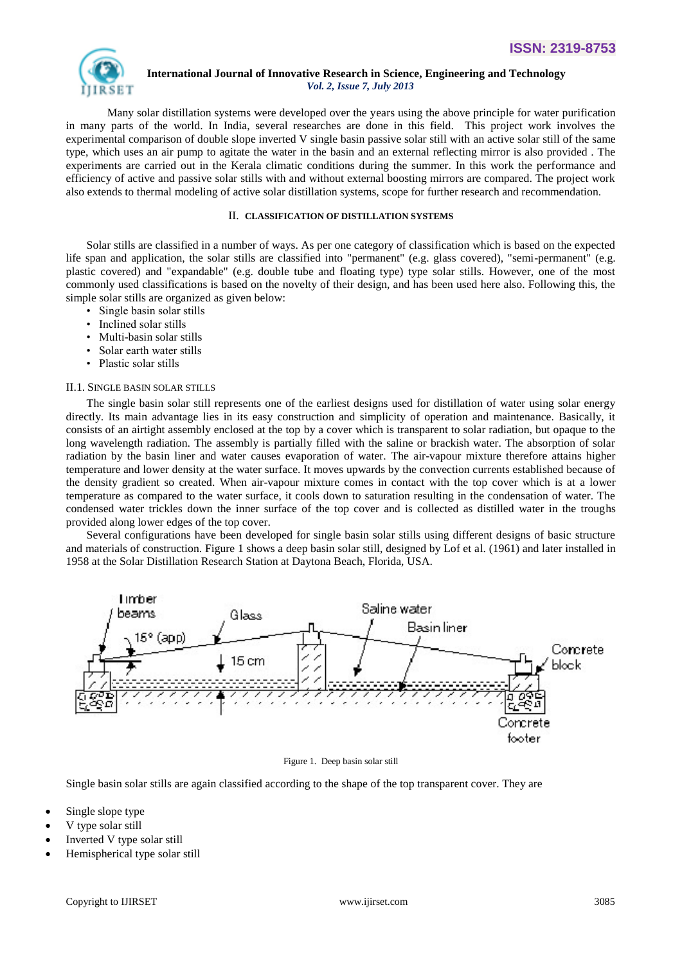

## **International Journal of Innovative Research in Science, Engineering and Technology**

 *Vol. 2, Issue 7, July 2013*

Many solar distillation systems were developed over the years using the above principle for water purification in many parts of the world. In India, several researches are done in this field. This project work involves the experimental comparison of double slope inverted V single basin passive solar still with an active solar still of the same type, which uses an air pump to agitate the water in the basin and an external reflecting mirror is also provided . The experiments are carried out in the Kerala climatic conditions during the summer. In this work the performance and efficiency of active and passive solar stills with and without external boosting mirrors are compared. The project work also extends to thermal modeling of active solar distillation systems, scope for further research and recommendation.

#### II. **CLASSIFICATION OF DISTILLATION SYSTEMS**

Solar stills are classified in a number of ways. As per one category of classification which is based on the expected life span and application, the solar stills are classified into "permanent" (e.g. glass covered), "semi-permanent" (e.g. plastic covered) and "expandable" (e.g. double tube and floating type) type solar stills. However, one of the most commonly used classifications is based on the novelty of their design, and has been used here also. Following this, the simple solar stills are organized as given below:

- Single basin solar stills
- Inclined solar stills
- Multi-basin solar stills
- Solar earth water stills
- Plastic solar stills

#### II.1. SINGLE BASIN SOLAR STILLS

The single basin solar still represents one of the earliest designs used for distillation of water using solar energy directly. Its main advantage lies in its easy construction and simplicity of operation and maintenance. Basically, it consists of an airtight assembly enclosed at the top by a cover which is transparent to solar radiation, but opaque to the long wavelength radiation. The assembly is partially filled with the saline or brackish water. The absorption of solar radiation by the basin liner and water causes evaporation of water. The air-vapour mixture therefore attains higher temperature and lower density at the water surface. It moves upwards by the convection currents established because of the density gradient so created. When air-vapour mixture comes in contact with the top cover which is at a lower temperature as compared to the water surface, it cools down to saturation resulting in the condensation of water. The condensed water trickles down the inner surface of the top cover and is collected as distilled water in the troughs provided along lower edges of the top cover.

Several configurations have been developed for single basin solar stills using different designs of basic structure and materials of construction. Figure 1 shows a deep basin solar still, designed by Lof et al. (1961) and later installed in 1958 at the Solar Distillation Research Station at Daytona Beach, Florida, USA.



Figure 1. Deep basin solar still

Single basin solar stills are again classified according to the shape of the top transparent cover. They are

- Single slope type
- V type solar still
- Inverted V type solar still
- Hemispherical type solar still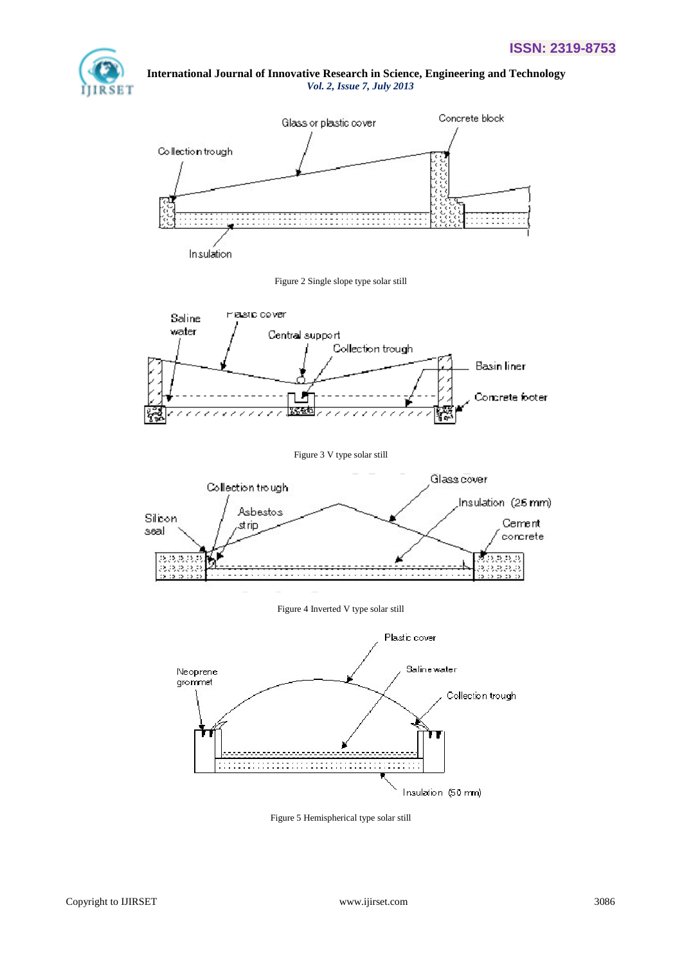



Figure 5 Hemispherical type solar still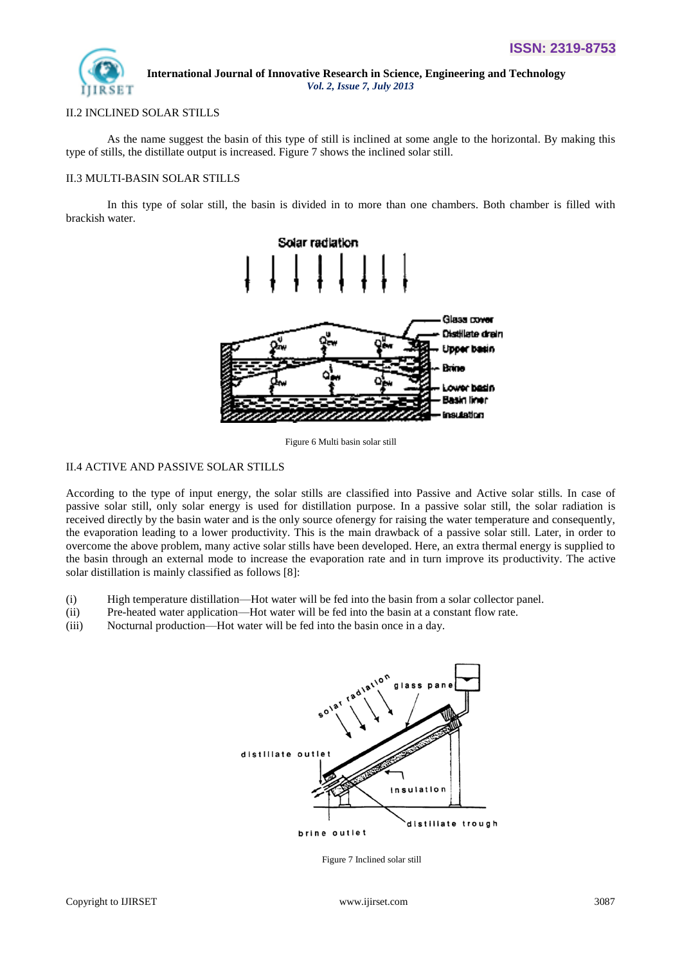

## II.2 INCLINED SOLAR STILLS

As the name suggest the basin of this type of still is inclined at some angle to the horizontal. By making this type of stills, the distillate output is increased. Figure 7 shows the inclined solar still.

## II.3 MULTI-BASIN SOLAR STILLS

In this type of solar still, the basin is divided in to more than one chambers. Both chamber is filled with brackish water.



Figure 6 Multi basin solar still

## II.4 ACTIVE AND PASSIVE SOLAR STILLS

According to the type of input energy, the solar stills are classified into Passive and Active solar stills. In case of passive solar still, only solar energy is used for distillation purpose. In a passive solar still, the solar radiation is received directly by the basin water and is the only source ofenergy for raising the water temperature and consequently, the evaporation leading to a lower productivity. This is the main drawback of a passive solar still. Later, in order to overcome the above problem, many active solar stills have been developed. Here, an extra thermal energy is supplied to the basin through an external mode to increase the evaporation rate and in turn improve its productivity. The active solar distillation is mainly classified as follows [8]:

- (i) High temperature distillation—Hot water will be fed into the basin from a solar collector panel.
- (ii) Pre-heated water application—Hot water will be fed into the basin at a constant flow rate.
- (iii) Nocturnal production—Hot water will be fed into the basin once in a day.



Figure 7 Inclined solar still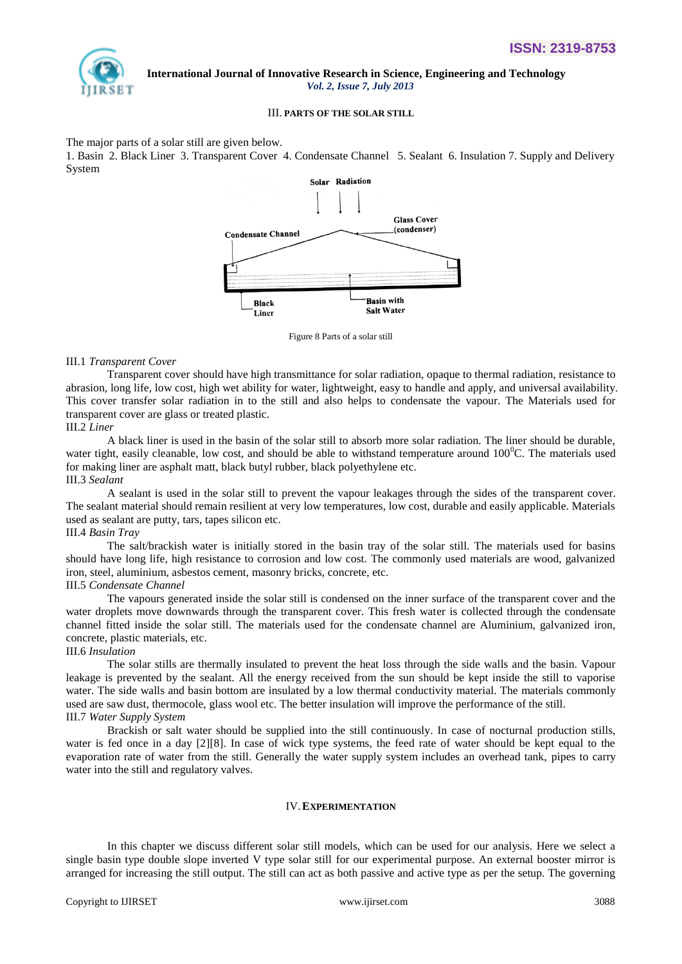

#### III. **PARTS OF THE SOLAR STILL**

The major parts of a solar still are given below.

1. Basin 2. Black Liner 3. Transparent Cover 4. Condensate Channel 5. Sealant 6. Insulation 7. Supply and Delivery System



Figure 8 Parts of a solar still

#### III.1 *Transparent Cover*

Transparent cover should have high transmittance for solar radiation, opaque to thermal radiation, resistance to abrasion, long life, low cost, high wet ability for water, lightweight, easy to handle and apply, and universal availability. This cover transfer solar radiation in to the still and also helps to condensate the vapour. The Materials used for transparent cover are glass or treated plastic.

#### III.2 *Liner*

A black liner is used in the basin of the solar still to absorb more solar radiation. The liner should be durable, water tight, easily cleanable, low cost, and should be able to withstand temperature around  $100^{\circ}$ C. The materials used for making liner are asphalt matt, black butyl rubber, black polyethylene etc. III.3 *Sealant*

A sealant is used in the solar still to prevent the vapour leakages through the sides of the transparent cover. The sealant material should remain resilient at very low temperatures, low cost, durable and easily applicable. Materials used as sealant are putty, tars, tapes silicon etc.

## III.4 *Basin Tray*

The salt/brackish water is initially stored in the basin tray of the solar still. The materials used for basins should have long life, high resistance to corrosion and low cost. The commonly used materials are wood, galvanized iron, steel, aluminium, asbestos cement, masonry bricks, concrete, etc.

III.5 *Condensate Channel*

The vapours generated inside the solar still is condensed on the inner surface of the transparent cover and the water droplets move downwards through the transparent cover. This fresh water is collected through the condensate channel fitted inside the solar still. The materials used for the condensate channel are Aluminium, galvanized iron, concrete, plastic materials, etc.

## III.6 *Insulation*

The solar stills are thermally insulated to prevent the heat loss through the side walls and the basin. Vapour leakage is prevented by the sealant. All the energy received from the sun should be kept inside the still to vaporise water. The side walls and basin bottom are insulated by a low thermal conductivity material. The materials commonly used are saw dust, thermocole, glass wool etc. The better insulation will improve the performance of the still. III.7 *Water Supply System*

Brackish or salt water should be supplied into the still continuously. In case of nocturnal production stills, water is fed once in a day [2][8]. In case of wick type systems, the feed rate of water should be kept equal to the evaporation rate of water from the still. Generally the water supply system includes an overhead tank, pipes to carry water into the still and regulatory valves.

## IV.**EXPERIMENTATION**

In this chapter we discuss different solar still models, which can be used for our analysis. Here we select a single basin type double slope inverted V type solar still for our experimental purpose. An external booster mirror is arranged for increasing the still output. The still can act as both passive and active type as per the setup. The governing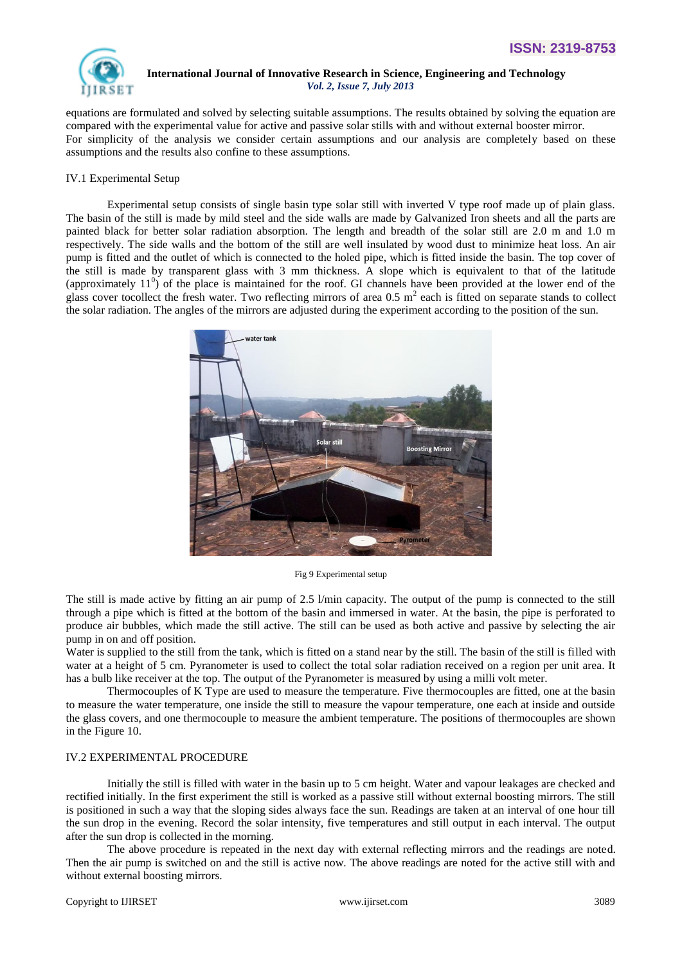

equations are formulated and solved by selecting suitable assumptions. The results obtained by solving the equation are compared with the experimental value for active and passive solar stills with and without external booster mirror. For simplicity of the analysis we consider certain assumptions and our analysis are completely based on these assumptions and the results also confine to these assumptions.

## IV.1 Experimental Setup

Experimental setup consists of single basin type solar still with inverted V type roof made up of plain glass. The basin of the still is made by mild steel and the side walls are made by Galvanized Iron sheets and all the parts are painted black for better solar radiation absorption. The length and breadth of the solar still are 2.0 m and 1.0 m respectively. The side walls and the bottom of the still are well insulated by wood dust to minimize heat loss. An air pump is fitted and the outlet of which is connected to the holed pipe, which is fitted inside the basin. The top cover of the still is made by transparent glass with 3 mm thickness. A slope which is equivalent to that of the latitude (approximately  $11<sup>0</sup>$ ) of the place is maintained for the roof. GI channels have been provided at the lower end of the glass cover tocollect the fresh water. Two reflecting mirrors of area  $0.5 \text{ m}^2$  each is fitted on separate stands to collect the solar radiation. The angles of the mirrors are adjusted during the experiment according to the position of the sun.



Fig 9 Experimental setup

The still is made active by fitting an air pump of 2.5 l/min capacity. The output of the pump is connected to the still through a pipe which is fitted at the bottom of the basin and immersed in water. At the basin, the pipe is perforated to produce air bubbles, which made the still active. The still can be used as both active and passive by selecting the air pump in on and off position.

Water is supplied to the still from the tank, which is fitted on a stand near by the still. The basin of the still is filled with water at a height of 5 cm. Pyranometer is used to collect the total solar radiation received on a region per unit area. It has a bulb like receiver at the top. The output of the Pyranometer is measured by using a milli volt meter.

Thermocouples of K Type are used to measure the temperature. Five thermocouples are fitted, one at the basin to measure the water temperature, one inside the still to measure the vapour temperature, one each at inside and outside the glass covers, and one thermocouple to measure the ambient temperature. The positions of thermocouples are shown in the Figure 10.

## IV.2 EXPERIMENTAL PROCEDURE

Initially the still is filled with water in the basin up to 5 cm height. Water and vapour leakages are checked and rectified initially. In the first experiment the still is worked as a passive still without external boosting mirrors. The still is positioned in such a way that the sloping sides always face the sun. Readings are taken at an interval of one hour till the sun drop in the evening. Record the solar intensity, five temperatures and still output in each interval. The output after the sun drop is collected in the morning.

The above procedure is repeated in the next day with external reflecting mirrors and the readings are noted. Then the air pump is switched on and the still is active now. The above readings are noted for the active still with and without external boosting mirrors.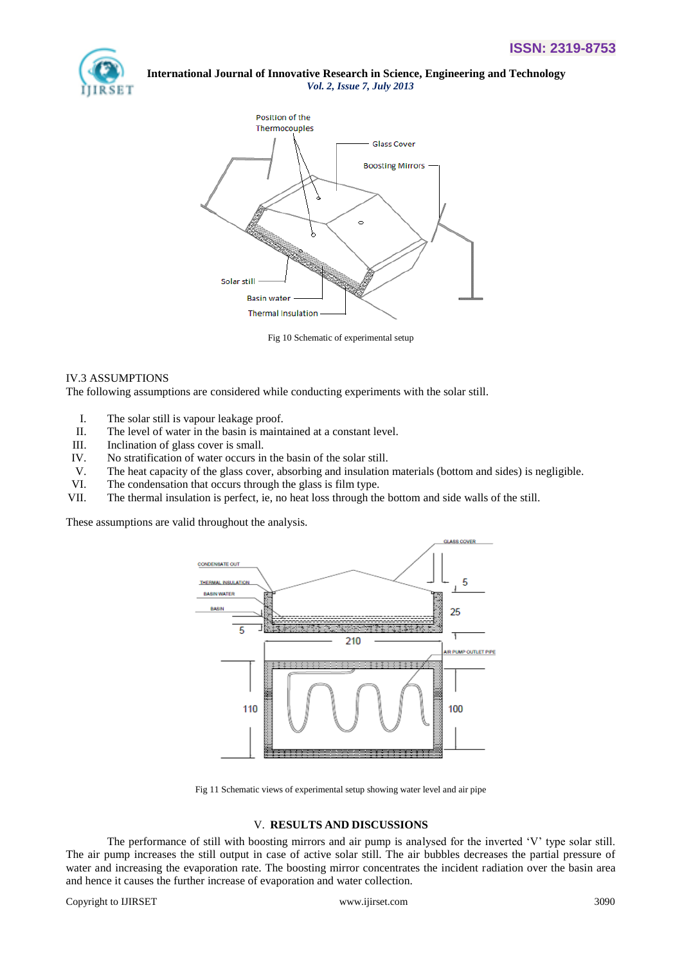



Fig 10 Schematic of experimental setup

## IV.3 ASSUMPTIONS

The following assumptions are considered while conducting experiments with the solar still.

- I. The solar still is vapour leakage proof.<br>II. The level of water in the basin is main
- The level of water in the basin is maintained at a constant level.
- III. Inclination of glass cover is small.
- IV. No stratification of water occurs in the basin of the solar still.
- V. The heat capacity of the glass cover, absorbing and insulation materials (bottom and sides) is negligible.
- VI. The condensation that occurs through the glass is film type.
- VII. The thermal insulation is perfect, ie, no heat loss through the bottom and side walls of the still.

These assumptions are valid throughout the analysis.



Fig 11 Schematic views of experimental setup showing water level and air pipe

## V. **RESULTS AND DISCUSSIONS**

The performance of still with boosting mirrors and air pump is analysed for the inverted 'V' type solar still. The air pump increases the still output in case of active solar still. The air bubbles decreases the partial pressure of water and increasing the evaporation rate. The boosting mirror concentrates the incident radiation over the basin area and hence it causes the further increase of evaporation and water collection.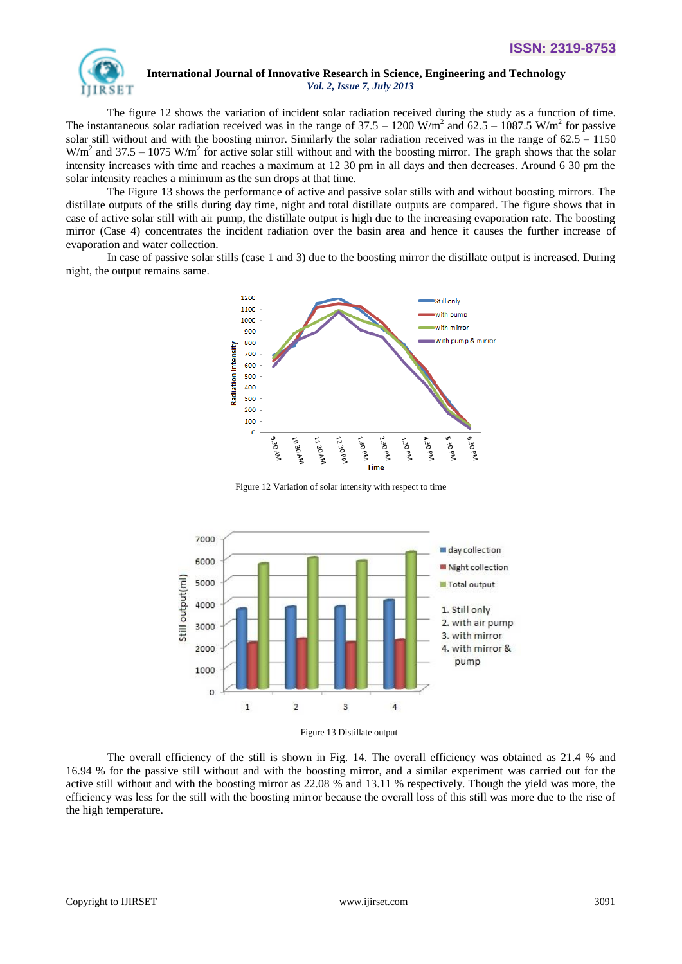

The figure 12 shows the variation of incident solar radiation received during the study as a function of time. The instantaneous solar radiation received was in the range of  $37.5 - 1200$  W/m<sup>2</sup> and  $62.5 - 1087.5$  W/m<sup>2</sup> for passive solar still without and with the boosting mirror. Similarly the solar radiation received was in the range of  $62.5 - 1150$  $W/m<sup>2</sup>$  and 37.5 – 1075 W/m<sup>2</sup> for active solar still without and with the boosting mirror. The graph shows that the solar intensity increases with time and reaches a maximum at 12 30 pm in all days and then decreases. Around 6 30 pm the solar intensity reaches a minimum as the sun drops at that time.

The Figure 13 shows the performance of active and passive solar stills with and without boosting mirrors. The distillate outputs of the stills during day time, night and total distillate outputs are compared. The figure shows that in case of active solar still with air pump, the distillate output is high due to the increasing evaporation rate. The boosting mirror (Case 4) concentrates the incident radiation over the basin area and hence it causes the further increase of evaporation and water collection.

In case of passive solar stills (case 1 and 3) due to the boosting mirror the distillate output is increased. During night, the output remains same.



Figure 12 Variation of solar intensity with respect to time



Figure 13 Distillate output

The overall efficiency of the still is shown in Fig. 14. The overall efficiency was obtained as 21.4 % and 16.94 % for the passive still without and with the boosting mirror, and a similar experiment was carried out for the active still without and with the boosting mirror as 22.08 % and 13.11 % respectively. Though the yield was more, the efficiency was less for the still with the boosting mirror because the overall loss of this still was more due to the rise of the high temperature.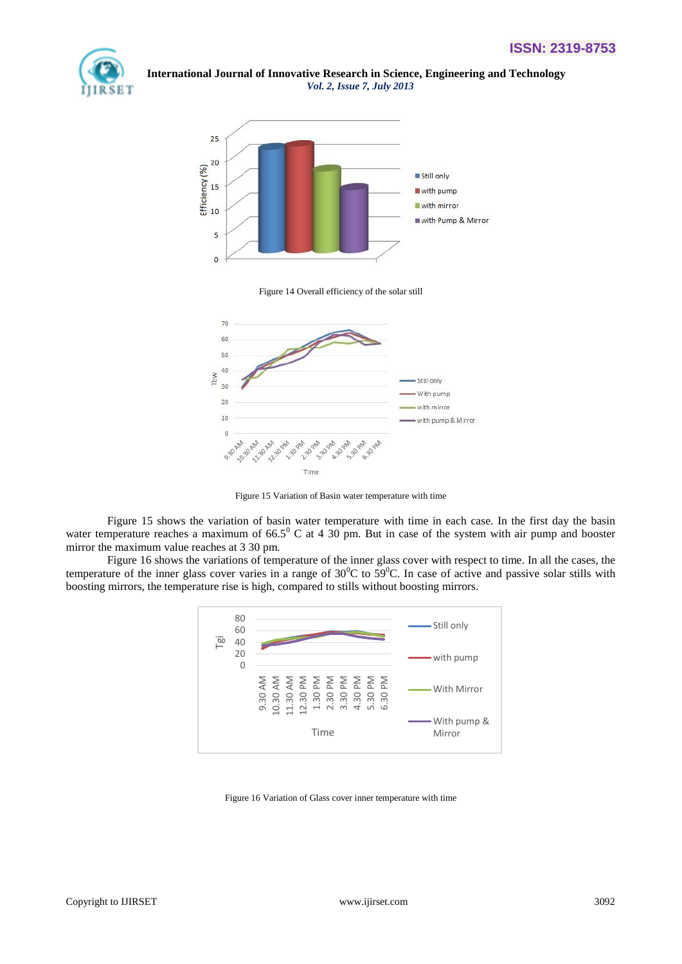



Figure 15 Variation of Basin water temperature with time

Figure 15 shows the variation of basin water temperature with time in each case. In the first day the basin water temperature reaches a maximum of  $66.5^{\circ}$  C at 4 30 pm. But in case of the system with air pump and booster mirror the maximum value reaches at 3 30 pm.

Figure 16 shows the variations of temperature of the inner glass cover with respect to time. In all the cases, the temperature of the inner glass cover varies in a range of  $30^{\circ}$ C to  $59^{\circ}$ C. In case of active and passive solar stills with boosting mirrors, the temperature rise is high, compared to stills without boosting mirrors.



Figure 16 Variation of Glass cover inner temperature with time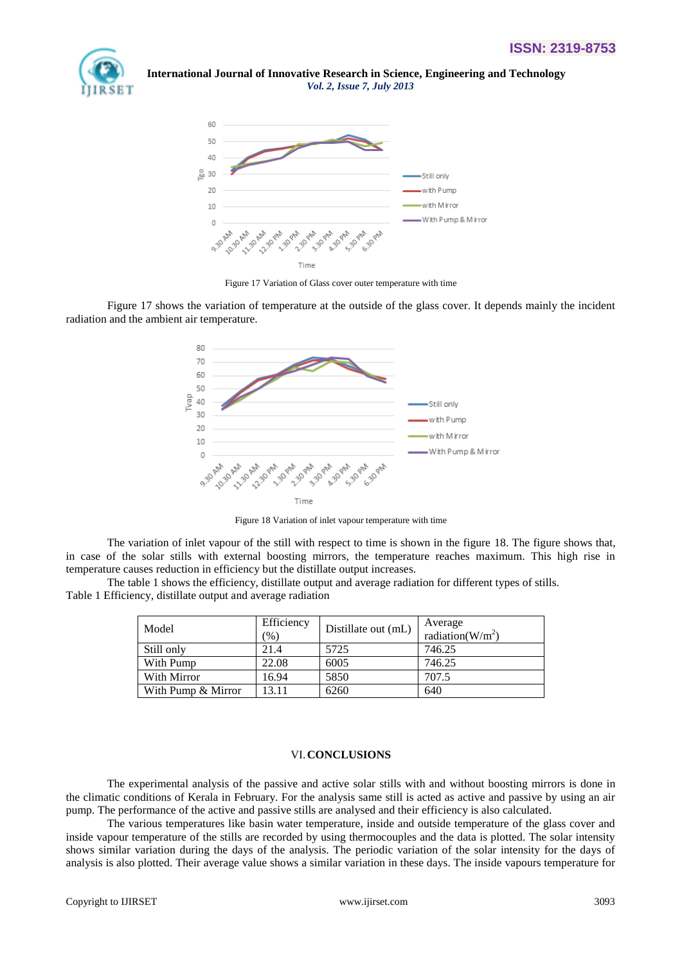



Figure 17 Variation of Glass cover outer temperature with time

Figure 17 shows the variation of temperature at the outside of the glass cover. It depends mainly the incident radiation and the ambient air temperature.



Figure 18 Variation of inlet vapour temperature with time

The variation of inlet vapour of the still with respect to time is shown in the figure 18. The figure shows that, in case of the solar stills with external boosting mirrors, the temperature reaches maximum. This high rise in temperature causes reduction in efficiency but the distillate output increases.

The table 1 shows the efficiency, distillate output and average radiation for different types of stills. Table 1 Efficiency, distillate output and average radiation

| Model              | Efficiency<br>$(\%)$ | Distillate out (mL) | Average<br>radiation( $W/m2$ ) |
|--------------------|----------------------|---------------------|--------------------------------|
| Still only         | 21.4                 | 5725                | 746.25                         |
| With Pump          | 22.08                | 6005                | 746.25                         |
| With Mirror        | 16.94                | 5850                | 707.5                          |
| With Pump & Mirror | 13.11                | 6260                | 640                            |

#### VI.**CONCLUSIONS**

The experimental analysis of the passive and active solar stills with and without boosting mirrors is done in the climatic conditions of Kerala in February. For the analysis same still is acted as active and passive by using an air pump. The performance of the active and passive stills are analysed and their efficiency is also calculated.

The various temperatures like basin water temperature, inside and outside temperature of the glass cover and inside vapour temperature of the stills are recorded by using thermocouples and the data is plotted. The solar intensity shows similar variation during the days of the analysis. The periodic variation of the solar intensity for the days of analysis is also plotted. Their average value shows a similar variation in these days. The inside vapours temperature for